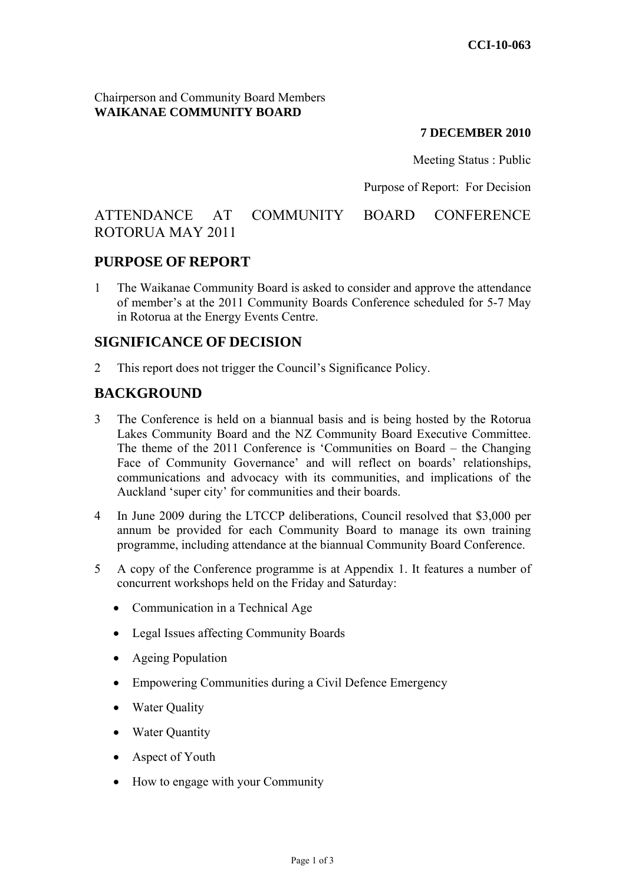Chairperson and Community Board Members **WAIKANAE COMMUNITY BOARD** 

#### **7 DECEMBER 2010**

Meeting Status : Public

Purpose of Report: For Decision

# ATTENDANCE AT COMMUNITY BOARD CONFERENCE ROTORUA MAY 2011

### **PURPOSE OF REPORT**

1 The Waikanae Community Board is asked to consider and approve the attendance of member's at the 2011 Community Boards Conference scheduled for 5-7 May in Rotorua at the Energy Events Centre.

### **SIGNIFICANCE OF DECISION**

2 This report does not trigger the Council's Significance Policy.

# **BACKGROUND**

- 3 The Conference is held on a biannual basis and is being hosted by the Rotorua Lakes Community Board and the NZ Community Board Executive Committee. The theme of the 2011 Conference is 'Communities on Board – the Changing Face of Community Governance' and will reflect on boards' relationships, communications and advocacy with its communities, and implications of the Auckland 'super city' for communities and their boards.
- 4 In June 2009 during the LTCCP deliberations, Council resolved that \$3,000 per annum be provided for each Community Board to manage its own training programme, including attendance at the biannual Community Board Conference.
- 5 A copy of the Conference programme is at Appendix 1. It features a number of concurrent workshops held on the Friday and Saturday:
	- Communication in a Technical Age
	- Legal Issues affecting Community Boards
	- Ageing Population
	- Empowering Communities during a Civil Defence Emergency
	- Water Quality
	- **Water Quantity**
	- Aspect of Youth
	- How to engage with your Community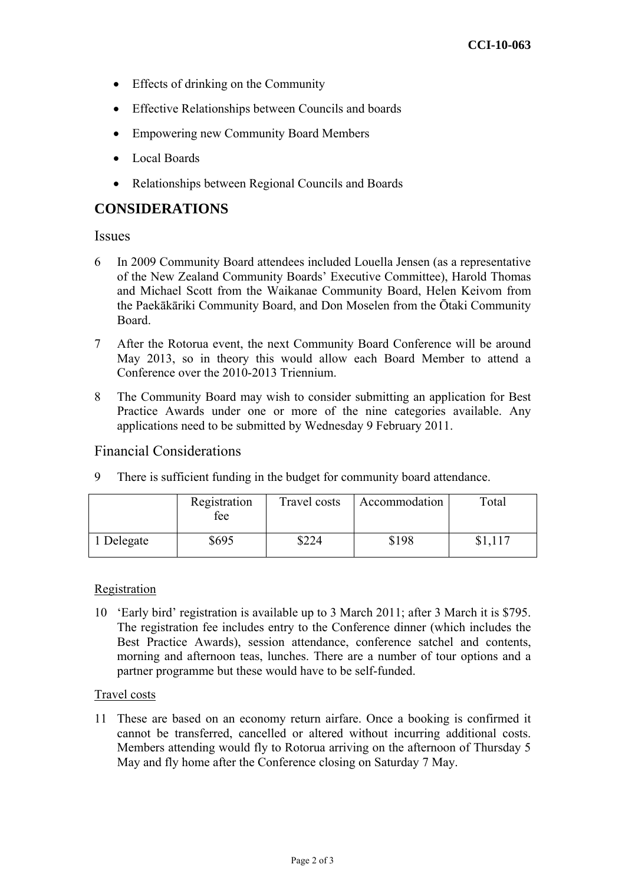- Effects of drinking on the Community
- Effective Relationships between Councils and boards
- Empowering new Community Board Members
- Local Boards
- Relationships between Regional Councils and Boards

## **CONSIDERATIONS**

Issues

- 6 In 2009 Community Board attendees included Louella Jensen (as a representative of the New Zealand Community Boards' Executive Committee), Harold Thomas and Michael Scott from the Waikanae Community Board, Helen Keivom from the Paekākāriki Community Board, and Don Moselen from the Ōtaki Community Board.
- 7 After the Rotorua event, the next Community Board Conference will be around May 2013, so in theory this would allow each Board Member to attend a Conference over the 2010-2013 Triennium.
- 8 The Community Board may wish to consider submitting an application for Best Practice Awards under one or more of the nine categories available. Any applications need to be submitted by Wednesday 9 February 2011.

### Financial Considerations

9 There is sufficient funding in the budget for community board attendance.

|          | Registration<br>fee | Travel costs | Accommodation | Total |
|----------|---------------------|--------------|---------------|-------|
| Delegate | \$695               | \$224        | \$198         |       |

#### Registration

10 'Early bird' registration is available up to 3 March 2011; after 3 March it is \$795. The registration fee includes entry to the Conference dinner (which includes the Best Practice Awards), session attendance, conference satchel and contents, morning and afternoon teas, lunches. There are a number of tour options and a partner programme but these would have to be self-funded.

#### Travel costs

11 These are based on an economy return airfare. Once a booking is confirmed it cannot be transferred, cancelled or altered without incurring additional costs. Members attending would fly to Rotorua arriving on the afternoon of Thursday 5 May and fly home after the Conference closing on Saturday 7 May.